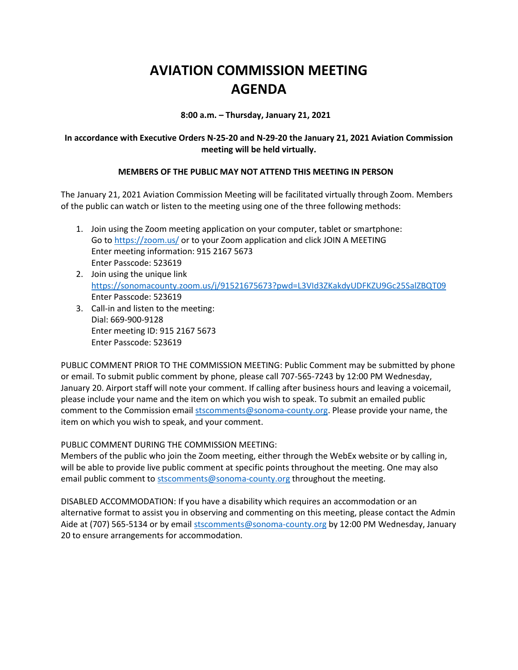## **AVIATION COMMISSION MEETING AGENDA**

**8:00 a.m. – Thursday, January 21, 2021**

## **In accordance with Executive Orders N-25-20 and N-29-20 the January 21, 2021 Aviation Commission meeting will be held virtually.**

## **MEMBERS OF THE PUBLIC MAY NOT ATTEND THIS MEETING IN PERSON**

The January 21, 2021 Aviation Commission Meeting will be facilitated virtually through Zoom. Members of the public can watch or listen to the meeting using one of the three following methods:

- 1. Join using the Zoom meeting application on your computer, tablet or smartphone: Go to<https://zoom.us/> or to your Zoom application and click JOIN A MEETING Enter meeting information: 915 2167 5673 Enter Passcode: 523619
- 2. Join using the unique link <https://sonomacounty.zoom.us/j/91521675673?pwd=L3VId3ZKakdyUDFKZU9Gc25SalZBQT09> Enter Passcode: 523619
- 3. Call-in and listen to the meeting: Dial: 669-900-9128 Enter meeting ID: 915 2167 5673 Enter Passcode: 523619

PUBLIC COMMENT PRIOR TO THE COMMISSION MEETING: Public Comment may be submitted by phone or email. To submit public comment by phone, please call 707-565-7243 by 12:00 PM Wednesday, January 20. Airport staff will note your comment. If calling after business hours and leaving a voicemail, please include your name and the item on which you wish to speak. To submit an emailed public comment to the Commission email [stscomments@sonoma-county.org.](mailto:stscomments@sonoma-county.org) Please provide your name, the item on which you wish to speak, and your comment.

PUBLIC COMMENT DURING THE COMMISSION MEETING:

Members of the public who join the Zoom meeting, either through the WebEx website or by calling in, will be able to provide live public comment at specific points throughout the meeting. One may also email public comment to [stscomments@sonoma-county.org](mailto:stscomments@sonoma-county.org) throughout the meeting.

DISABLED ACCOMMODATION: If you have a disability which requires an accommodation or an alternative format to assist you in observing and commenting on this meeting, please contact the Admin Aide at (707) 565-5134 or by email [stscomments@sonoma-county.org](mailto:stscomments@sonoma-county.org) by 12:00 PM Wednesday, January 20 to ensure arrangements for accommodation.